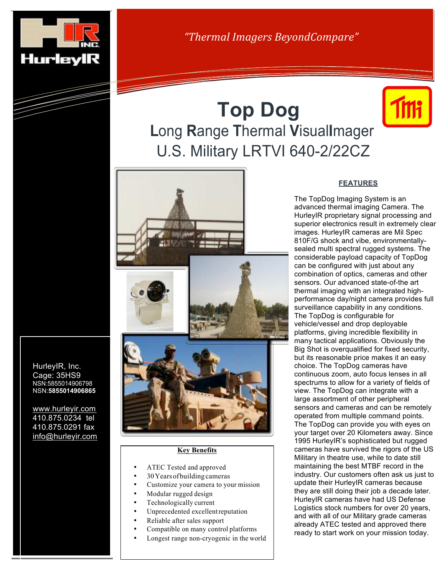

HurleyIR, Inc. Cage: 35HS9 NSN:5855014906798 NSN:**5855014906865**

www.hurleyir.com 410.875.0234 tel 410.875.0291 fax info@hurleyir.com *"Thermal Imagers BeyondCompare"*

## **Top Dog L**ong **R**ange **T**hermal **V**isual**I**mager U.S. Military LRTVI 640-2/22CZ





## **Key Benefits**

- ATEC Tested and approved
- 30Yearsofbuilding cameras
- Customize your camera to your mission
- Modular rugged design
- Technologically current Unprecedented excellent reputation
- 
- Reliable after sales support
- Compatible on many control platforms
- Longest range non-cryogenic in the world

## **FEATURES**

The TopDog Imaging System is an advanced thermal imaging Camera. The HurleyIR proprietary signal processing and superior electronics result in extremely clear images. HurleyIR cameras are Mil Spec 810F/G shock and vibe, environmentallysealed multi spectral rugged systems. The considerable payload capacity of TopDog can be configured with just about any combination of optics, cameras and other sensors. Our advanced state-of-the art thermal imaging with an integrated highperformance day/night camera provides full surveillance capability in any conditions. The TopDog is configurable for vehicle/vessel and drop deployable platforms, giving incredible flexibility in many tactical applications. Obviously the Big Shot is overqualified for fixed security, but its reasonable price makes it an easy choice. The TopDog cameras have continuous zoom, auto focus lenses in all spectrums to allow for a variety of fields of view. The TopDog can integrate with a large assortment of other peripheral sensors and cameras and can be remotely operated from multiple command points. The TopDog can provide you with eyes on your target over 20 Kilometers away. Since 1995 HurleyIR's sophisticated but rugged cameras have survived the rigors of the US Military in theatre use, while to date still maintaining the best MTBF record in the industry. Our customers often ask us just to update their HurleyIR cameras because they are still doing their job a decade later. HurleyIR cameras have had US Defense Logistics stock numbers for over 20 years, and with all of our Military grade cameras already ATEC tested and approved there ready to start work on your mission today.